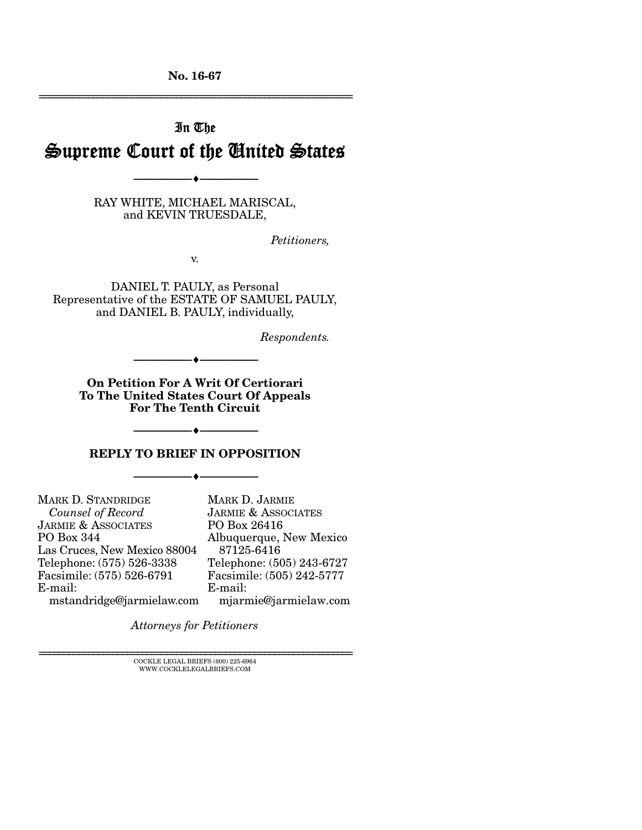No. 16-67 ================================================================

# In The Supreme Court of the United States

RAY WHITE, MICHAEL MARISCAL, and KEVIN TRUESDALE,

--------------------------------- ---------------------------------

*Petitioners,* 

v.

DANIEL T. PAULY, as Personal Representative of the ESTATE OF SAMUEL PAULY, and DANIEL B. PAULY, individually,

*Respondents.* 

On Petition For A Writ Of Certiorari To The United States Court Of Appeals For The Tenth Circuit

--------------------------------- ---------------------------------

--------------------------------- ---------------------------------

#### REPLY TO BRIEF IN OPPOSITION

--------------------------------- ---------------------------------

MARK D. STANDRIDGE  *Counsel of Record*  JARMIE & ASSOCIATES PO Box 344 Las Cruces, New Mexico 88004 Telephone: (575) 526-3338 Facsimile: (575) 526-6791 E-mail: mstandridge@jarmielaw.com MARK D. JARMIE E-mail:

JARMIE & ASSOCIATES PO Box 26416 Albuquerque, New Mexico 87125-6416 Telephone: (505) 243-6727 Facsimile: (505) 242-5777 mjarmie@jarmielaw.com

*Attorneys for Petitioners*

 ${\rm COCKLE}$ LEGAL BRIEFS (800) 225-6964 WWW.COCKLELEGALBRIEFS.COM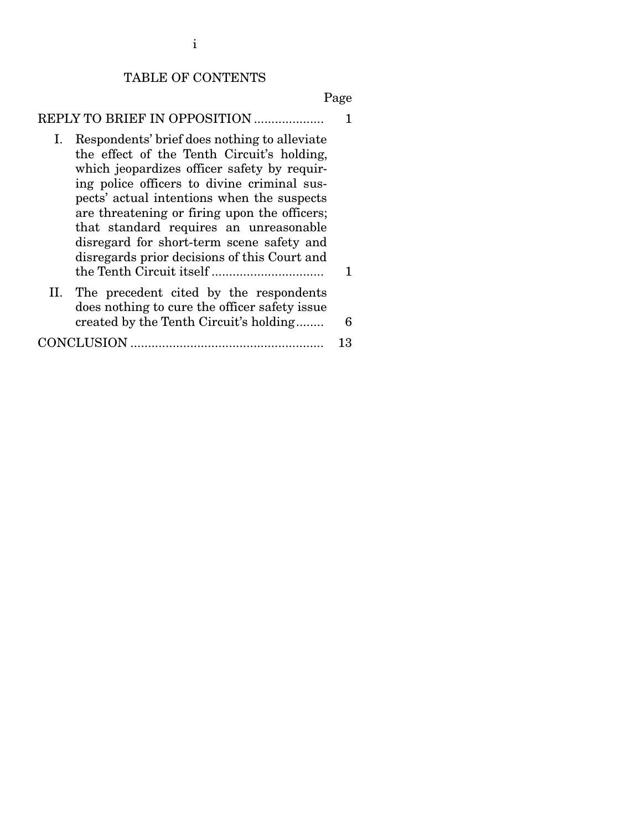#### TABLE OF CONTENTS

Page

|  |  | REPLY TO BRIEF IN OPPOSITION |  |
|--|--|------------------------------|--|
|--|--|------------------------------|--|

- I. Respondents' brief does nothing to alleviate the effect of the Tenth Circuit's holding, which jeopardizes officer safety by requiring police officers to divine criminal suspects' actual intentions when the suspects are threatening or firing upon the officers; that standard requires an unreasonable disregard for short-term scene safety and disregards prior decisions of this Court and the Tenth Circuit itself ................................ 1 II. The precedent cited by the respondents does nothing to cure the officer safety issue
- created by the Tenth Circuit's holding ........ 6
- CONCLUSION ....................................................... 13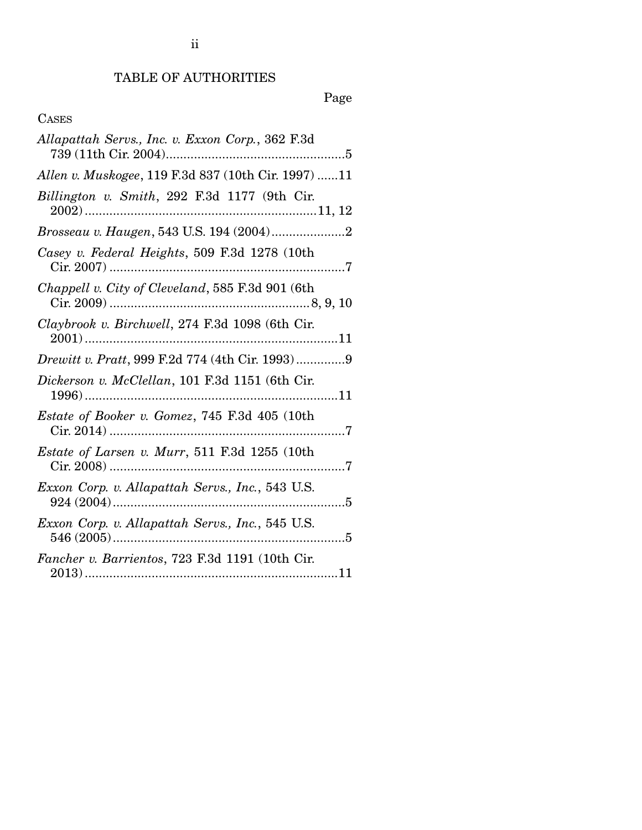# TABLE OF AUTHORITIES

# Page

## CASES

| Allapattah Servs., Inc. v. Exxon Corp., 362 F.3d    |
|-----------------------------------------------------|
| Allen v. Muskogee, 119 F.3d 837 (10th Cir. 1997) 11 |
| Billington v. Smith, 292 F.3d 1177 (9th Cir.        |
|                                                     |
| Casey v. Federal Heights, 509 F.3d 1278 (10th       |
| Chappell v. City of Cleveland, 585 F.3d 901 (6th    |
| Claybrook v. Birchwell, 274 F.3d 1098 (6th Cir.     |
| Drewitt v. Pratt, 999 F.2d 774 (4th Cir. 1993)9     |
| Dickerson v. McClellan, 101 F.3d 1151 (6th Cir.     |
| Estate of Booker v. Gomez, 745 F.3d 405 (10th       |
| Estate of Larsen v. Murr, 511 F.3d 1255 (10th       |
| Exxon Corp. v. Allapattah Servs., Inc., 543 U.S.    |
| Exxon Corp. v. Allapattah Servs., Inc., 545 U.S.    |
| Fancher v. Barrientos, 723 F.3d 1191 (10th Cir.     |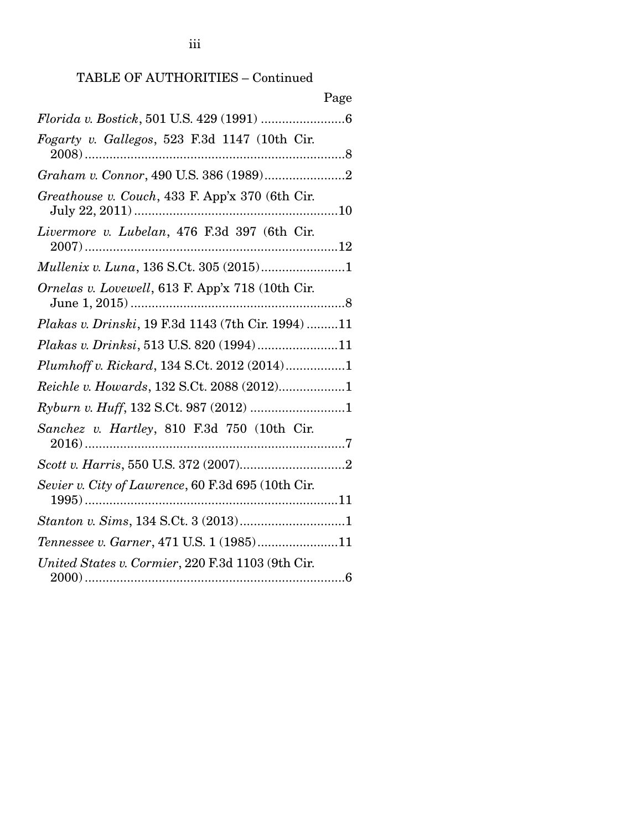## TABLE OF AUTHORITIES – Continued

| Page                                               |
|----------------------------------------------------|
|                                                    |
| Fogarty v. Gallegos, 523 F.3d 1147 (10th Cir.      |
|                                                    |
| Greathouse v. Couch, 433 F. App'x 370 (6th Cir.    |
| Livermore v. Lubelan, 476 F.3d 397 (6th Cir.       |
| Mullenix v. Luna, 136 S.Ct. 305 (2015)1            |
| Ornelas v. Lovewell, 613 F. App'x 718 (10th Cir.   |
| Plakas v. Drinski, 19 F.3d 1143 (7th Cir. 1994) 11 |
| Plakas v. Drinksi, 513 U.S. 820 (1994)11           |
| Plumhoff v. Rickard, 134 S.Ct. 2012 (2014)1        |
| Reichle v. Howards, 132 S.Ct. 2088 (2012)1         |
|                                                    |
| Sanchez v. Hartley, 810 F.3d 750 (10th Cir.        |
|                                                    |
| Sevier v. City of Lawrence, 60 F.3d 695 (10th Cir. |
|                                                    |
| Tennessee v. Garner, 471 U.S. 1 (1985)11           |
| United States v. Cormier, 220 F.3d 1103 (9th Cir.  |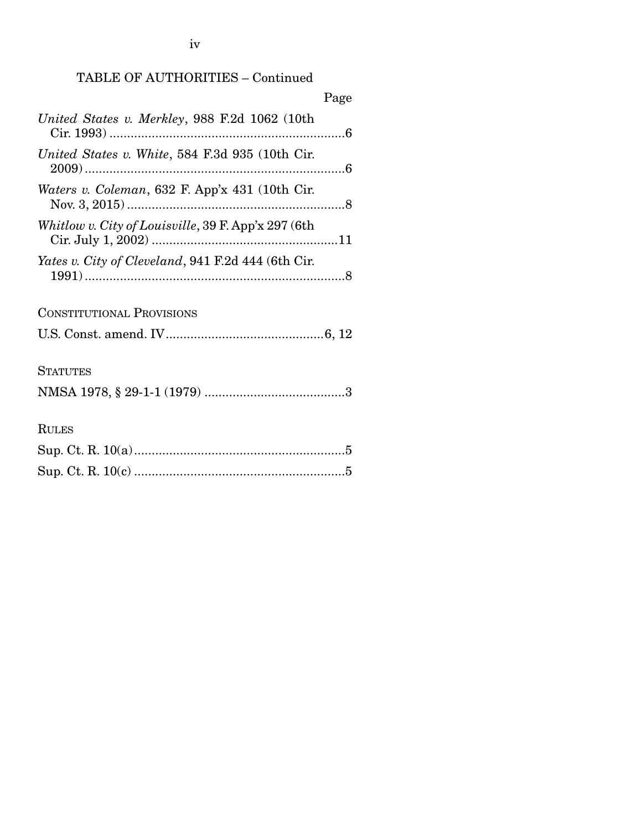iv

## TABLE OF AUTHORITIES – Continued

|                                                     | Page |
|-----------------------------------------------------|------|
| United States v. Merkley, 988 F.2d 1062 (10th       |      |
| United States v. White, 584 F.3d 935 (10th Cir.     |      |
| Waters v. Coleman, 632 F. App'x 431 (10th Cir.      |      |
| Whitlow v. City of Louisville, 39 F. App'x 297 (6th |      |
| Yates v. City of Cleveland, 941 F.2d 444 (6th Cir.  |      |
| <b>CONSTITUTIONAL PROVISIONS</b>                    |      |
|                                                     |      |
| <b>STATUTES</b>                                     |      |
|                                                     |      |
| <b>RULES</b>                                        |      |
|                                                     |      |
|                                                     |      |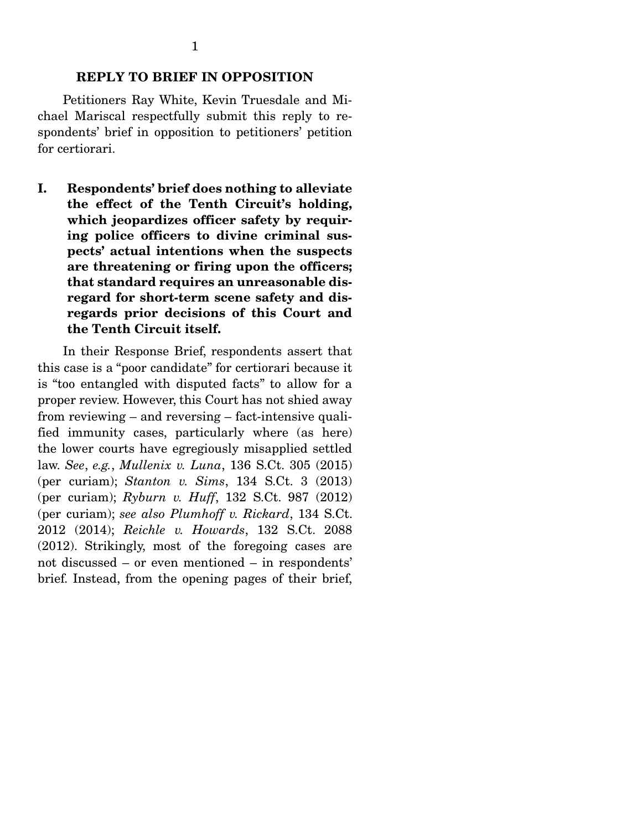### REPLY TO BRIEF IN OPPOSITION

 Petitioners Ray White, Kevin Truesdale and Michael Mariscal respectfully submit this reply to respondents' brief in opposition to petitioners' petition for certiorari.

I. Respondents' brief does nothing to alleviate the effect of the Tenth Circuit's holding, which jeopardizes officer safety by requiring police officers to divine criminal suspects' actual intentions when the suspects are threatening or firing upon the officers; that standard requires an unreasonable disregard for short-term scene safety and disregards prior decisions of this Court and the Tenth Circuit itself.

 In their Response Brief, respondents assert that this case is a "poor candidate" for certiorari because it is "too entangled with disputed facts" to allow for a proper review. However, this Court has not shied away from reviewing – and reversing – fact-intensive qualified immunity cases, particularly where (as here) the lower courts have egregiously misapplied settled law. *See*, *e.g.*, *Mullenix v. Luna*, 136 S.Ct. 305 (2015) (per curiam); *Stanton v. Sims*, 134 S.Ct. 3 (2013) (per curiam); *Ryburn v. Huff*, 132 S.Ct. 987 (2012) (per curiam); *see also Plumhoff v. Rickard*, 134 S.Ct. 2012 (2014); *Reichle v. Howards*, 132 S.Ct. 2088 (2012). Strikingly, most of the foregoing cases are not discussed – or even mentioned – in respondents' brief. Instead, from the opening pages of their brief,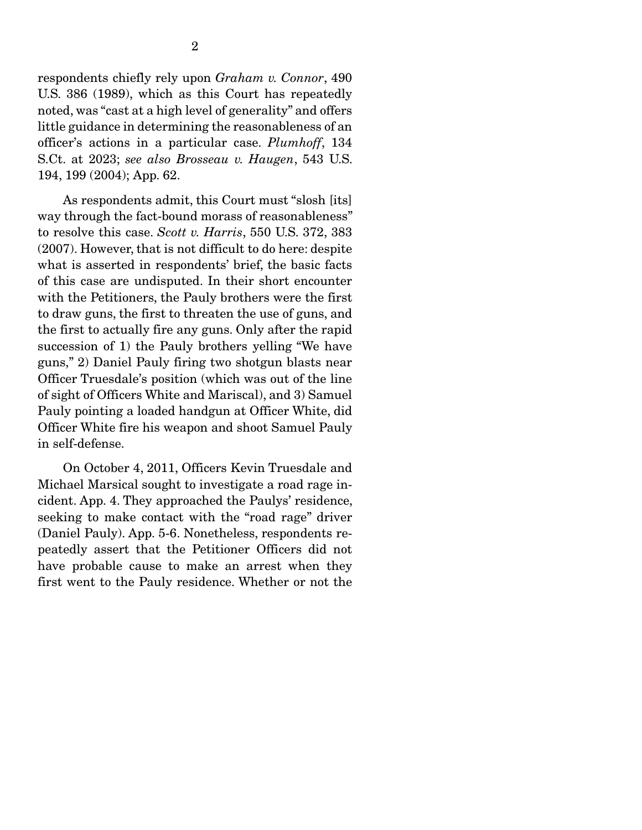respondents chiefly rely upon *Graham v. Connor*, 490 U.S. 386 (1989), which as this Court has repeatedly noted, was "cast at a high level of generality" and offers little guidance in determining the reasonableness of an officer's actions in a particular case. *Plumhoff*, 134 S.Ct. at 2023; *see also Brosseau v. Haugen*, 543 U.S. 194, 199 (2004); App. 62.

 As respondents admit, this Court must "slosh [its] way through the fact-bound morass of reasonableness" to resolve this case. *Scott v. Harris*, 550 U.S. 372, 383 (2007). However, that is not difficult to do here: despite what is asserted in respondents' brief, the basic facts of this case are undisputed. In their short encounter with the Petitioners, the Pauly brothers were the first to draw guns, the first to threaten the use of guns, and the first to actually fire any guns. Only after the rapid succession of 1) the Pauly brothers yelling "We have guns," 2) Daniel Pauly firing two shotgun blasts near Officer Truesdale's position (which was out of the line of sight of Officers White and Mariscal), and 3) Samuel Pauly pointing a loaded handgun at Officer White, did Officer White fire his weapon and shoot Samuel Pauly in self-defense.

 On October 4, 2011, Officers Kevin Truesdale and Michael Marsical sought to investigate a road rage incident. App. 4. They approached the Paulys' residence, seeking to make contact with the "road rage" driver (Daniel Pauly). App. 5-6. Nonetheless, respondents repeatedly assert that the Petitioner Officers did not have probable cause to make an arrest when they first went to the Pauly residence. Whether or not the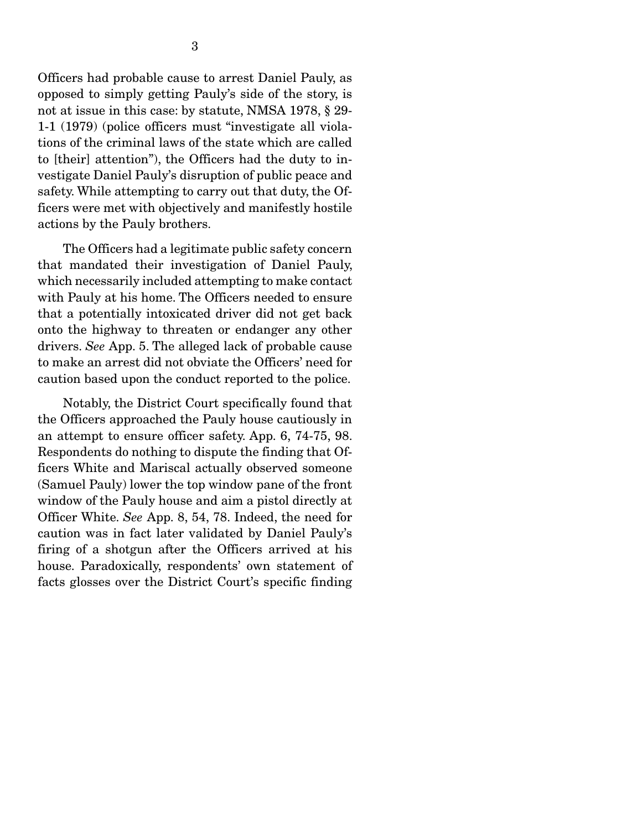Officers had probable cause to arrest Daniel Pauly, as opposed to simply getting Pauly's side of the story, is not at issue in this case: by statute, NMSA 1978, § 29- 1-1 (1979) (police officers must "investigate all violations of the criminal laws of the state which are called to [their] attention"), the Officers had the duty to investigate Daniel Pauly's disruption of public peace and safety. While attempting to carry out that duty, the Officers were met with objectively and manifestly hostile actions by the Pauly brothers.

 The Officers had a legitimate public safety concern that mandated their investigation of Daniel Pauly, which necessarily included attempting to make contact with Pauly at his home. The Officers needed to ensure that a potentially intoxicated driver did not get back onto the highway to threaten or endanger any other drivers. *See* App. 5. The alleged lack of probable cause to make an arrest did not obviate the Officers' need for caution based upon the conduct reported to the police.

 Notably, the District Court specifically found that the Officers approached the Pauly house cautiously in an attempt to ensure officer safety. App. 6, 74-75, 98. Respondents do nothing to dispute the finding that Officers White and Mariscal actually observed someone (Samuel Pauly) lower the top window pane of the front window of the Pauly house and aim a pistol directly at Officer White. *See* App. 8, 54, 78. Indeed, the need for caution was in fact later validated by Daniel Pauly's firing of a shotgun after the Officers arrived at his house. Paradoxically, respondents' own statement of facts glosses over the District Court's specific finding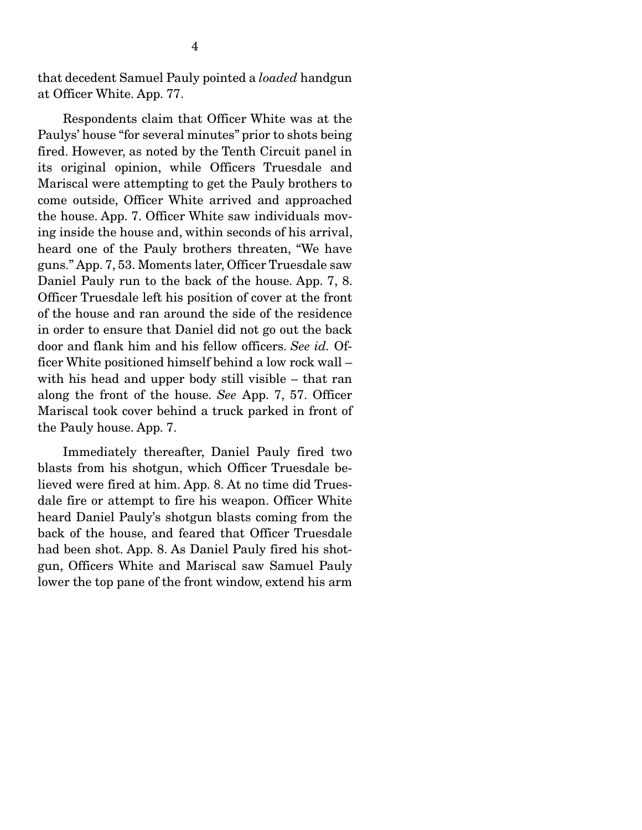that decedent Samuel Pauly pointed a *loaded* handgun at Officer White. App. 77.

 Respondents claim that Officer White was at the Paulys' house "for several minutes" prior to shots being fired. However, as noted by the Tenth Circuit panel in its original opinion, while Officers Truesdale and Mariscal were attempting to get the Pauly brothers to come outside, Officer White arrived and approached the house. App. 7. Officer White saw individuals moving inside the house and, within seconds of his arrival, heard one of the Pauly brothers threaten, "We have guns." App. 7, 53. Moments later, Officer Truesdale saw Daniel Pauly run to the back of the house. App. 7, 8. Officer Truesdale left his position of cover at the front of the house and ran around the side of the residence in order to ensure that Daniel did not go out the back door and flank him and his fellow officers. *See id.* Officer White positioned himself behind a low rock wall – with his head and upper body still visible – that ran along the front of the house. *See* App. 7, 57. Officer Mariscal took cover behind a truck parked in front of the Pauly house. App. 7.

 Immediately thereafter, Daniel Pauly fired two blasts from his shotgun, which Officer Truesdale believed were fired at him. App. 8. At no time did Truesdale fire or attempt to fire his weapon. Officer White heard Daniel Pauly's shotgun blasts coming from the back of the house, and feared that Officer Truesdale had been shot. App. 8. As Daniel Pauly fired his shotgun, Officers White and Mariscal saw Samuel Pauly lower the top pane of the front window, extend his arm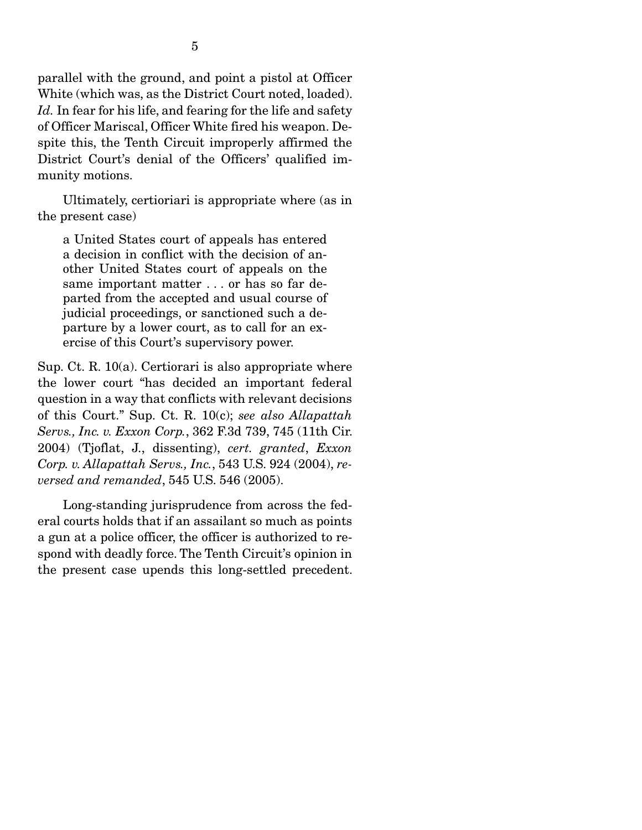parallel with the ground, and point a pistol at Officer White (which was, as the District Court noted, loaded). *Id.* In fear for his life, and fearing for the life and safety of Officer Mariscal, Officer White fired his weapon. Despite this, the Tenth Circuit improperly affirmed the District Court's denial of the Officers' qualified immunity motions.

 Ultimately, certioriari is appropriate where (as in the present case)

a United States court of appeals has entered a decision in conflict with the decision of another United States court of appeals on the same important matter . . . or has so far departed from the accepted and usual course of judicial proceedings, or sanctioned such a departure by a lower court, as to call for an exercise of this Court's supervisory power.

Sup. Ct. R. 10(a). Certiorari is also appropriate where the lower court "has decided an important federal question in a way that conflicts with relevant decisions of this Court." Sup. Ct. R. 10(c); *see also Allapattah Servs., Inc. v. Exxon Corp.*, 362 F.3d 739, 745 (11th Cir. 2004) (Tjoflat, J., dissenting), *cert. granted*, *Exxon Corp. v. Allapattah Servs., Inc.*, 543 U.S. 924 (2004), *reversed and remanded*, 545 U.S. 546 (2005).

 Long-standing jurisprudence from across the federal courts holds that if an assailant so much as points a gun at a police officer, the officer is authorized to respond with deadly force. The Tenth Circuit's opinion in the present case upends this long-settled precedent.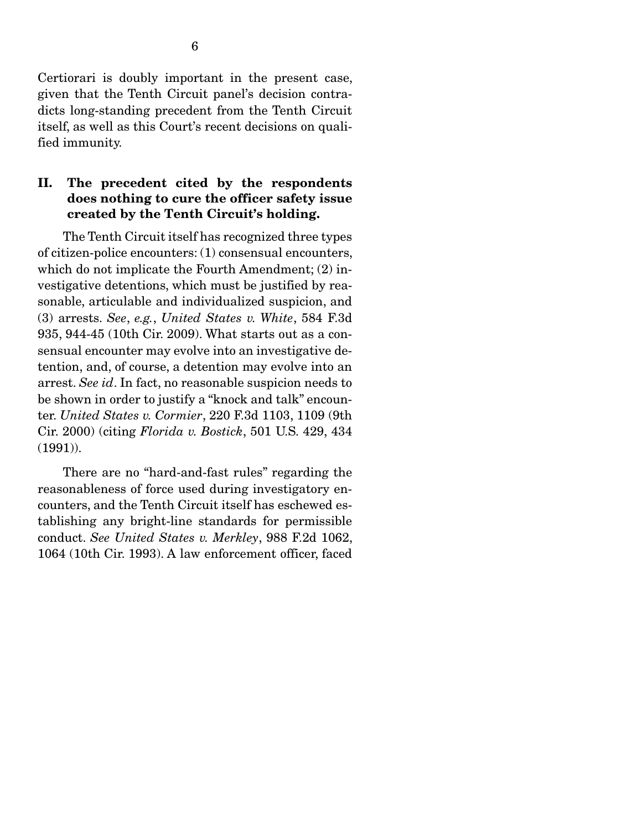Certiorari is doubly important in the present case, given that the Tenth Circuit panel's decision contradicts long-standing precedent from the Tenth Circuit itself, as well as this Court's recent decisions on qualified immunity.

### II. The precedent cited by the respondents does nothing to cure the officer safety issue created by the Tenth Circuit's holding.

 The Tenth Circuit itself has recognized three types of citizen-police encounters: (1) consensual encounters, which do not implicate the Fourth Amendment; (2) investigative detentions, which must be justified by reasonable, articulable and individualized suspicion, and (3) arrests. *See*, *e.g.*, *United States v. White*, 584 F.3d 935, 944-45 (10th Cir. 2009). What starts out as a consensual encounter may evolve into an investigative detention, and, of course, a detention may evolve into an arrest. *See id*. In fact, no reasonable suspicion needs to be shown in order to justify a "knock and talk" encounter. *United States v. Cormier*, 220 F.3d 1103, 1109 (9th Cir. 2000) (citing *Florida v. Bostick*, 501 U.S. 429, 434 (1991)).

 There are no "hard-and-fast rules" regarding the reasonableness of force used during investigatory encounters, and the Tenth Circuit itself has eschewed establishing any bright-line standards for permissible conduct. *See United States v. Merkley*, 988 F.2d 1062, 1064 (10th Cir. 1993). A law enforcement officer, faced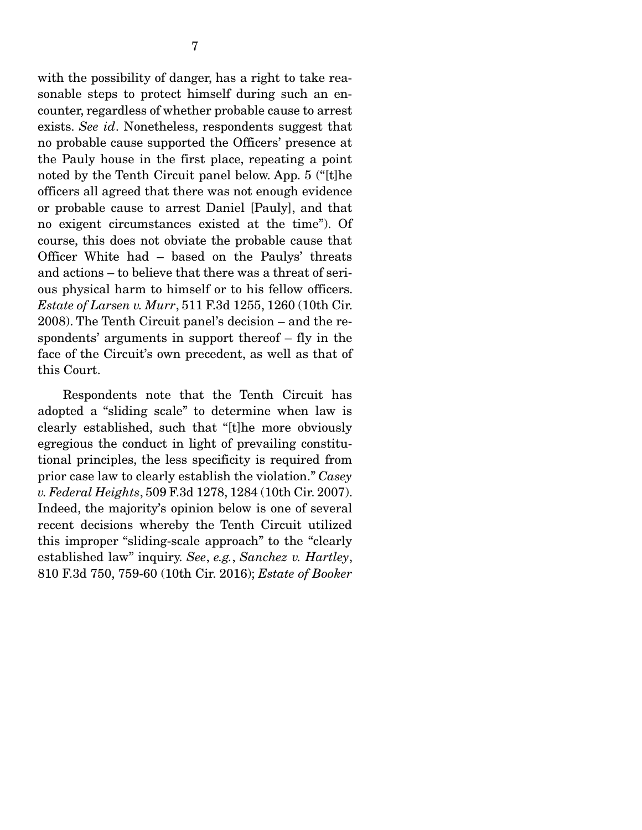with the possibility of danger, has a right to take reasonable steps to protect himself during such an encounter, regardless of whether probable cause to arrest exists. *See id*. Nonetheless, respondents suggest that no probable cause supported the Officers' presence at the Pauly house in the first place, repeating a point noted by the Tenth Circuit panel below. App. 5 ("[t]he officers all agreed that there was not enough evidence or probable cause to arrest Daniel [Pauly], and that no exigent circumstances existed at the time"). Of course, this does not obviate the probable cause that Officer White had – based on the Paulys' threats and actions – to believe that there was a threat of serious physical harm to himself or to his fellow officers. *Estate of Larsen v. Murr*, 511 F.3d 1255, 1260 (10th Cir. 2008). The Tenth Circuit panel's decision – and the respondents' arguments in support thereof – fly in the face of the Circuit's own precedent, as well as that of this Court.

 Respondents note that the Tenth Circuit has adopted a "sliding scale" to determine when law is clearly established, such that "[t]he more obviously egregious the conduct in light of prevailing constitutional principles, the less specificity is required from prior case law to clearly establish the violation." *Casey v. Federal Heights*, 509 F.3d 1278, 1284 (10th Cir. 2007). Indeed, the majority's opinion below is one of several recent decisions whereby the Tenth Circuit utilized this improper "sliding-scale approach" to the "clearly established law" inquiry. *See*, *e.g.*, *Sanchez v. Hartley*, 810 F.3d 750, 759-60 (10th Cir. 2016); *Estate of Booker*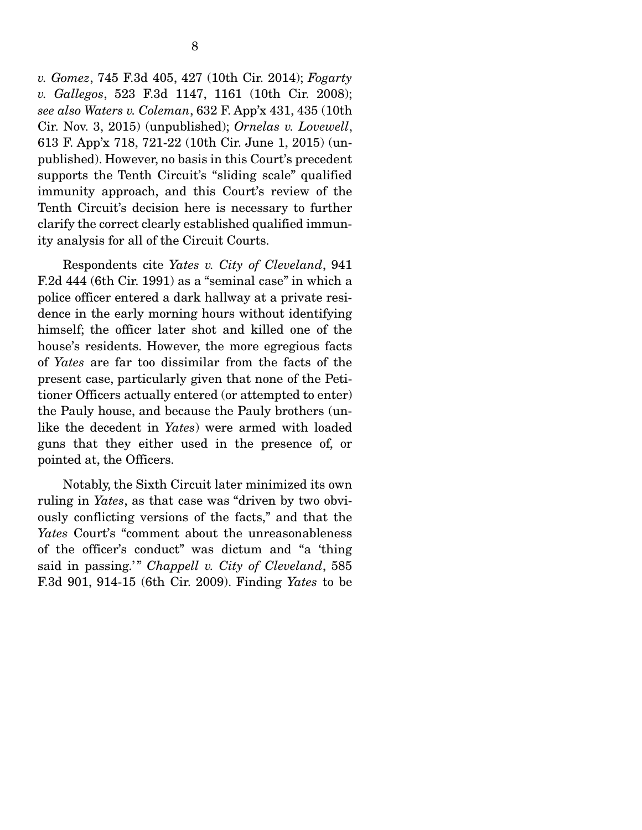*v. Gomez*, 745 F.3d 405, 427 (10th Cir. 2014); *Fogarty v. Gallegos*, 523 F.3d 1147, 1161 (10th Cir. 2008); *see also Waters v. Coleman*, 632 F. App'x 431, 435 (10th Cir. Nov. 3, 2015) (unpublished); *Ornelas v. Lovewell*, 613 F. App'x 718, 721-22 (10th Cir. June 1, 2015) (unpublished). However, no basis in this Court's precedent supports the Tenth Circuit's "sliding scale" qualified immunity approach, and this Court's review of the Tenth Circuit's decision here is necessary to further clarify the correct clearly established qualified immunity analysis for all of the Circuit Courts.

 Respondents cite *Yates v. City of Cleveland*, 941 F.2d 444 (6th Cir. 1991) as a "seminal case" in which a police officer entered a dark hallway at a private residence in the early morning hours without identifying himself; the officer later shot and killed one of the house's residents. However, the more egregious facts of *Yates* are far too dissimilar from the facts of the present case, particularly given that none of the Petitioner Officers actually entered (or attempted to enter) the Pauly house, and because the Pauly brothers (unlike the decedent in *Yates*) were armed with loaded guns that they either used in the presence of, or pointed at, the Officers.

 Notably, the Sixth Circuit later minimized its own ruling in *Yates*, as that case was "driven by two obviously conflicting versions of the facts," and that the *Yates* Court's "comment about the unreasonableness of the officer's conduct" was dictum and "a 'thing said in passing.'" *Chappell v. City of Cleveland*, 585 F.3d 901, 914-15 (6th Cir. 2009). Finding *Yates* to be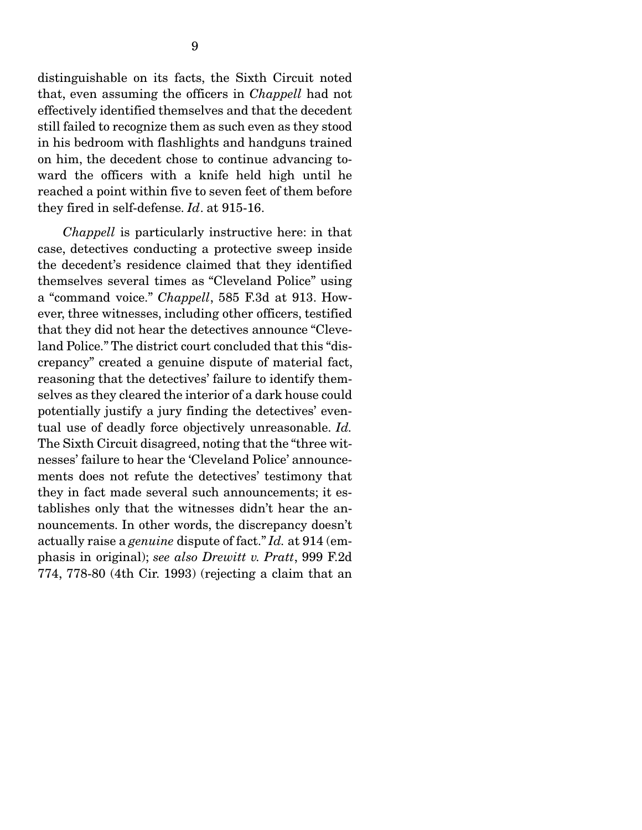distinguishable on its facts, the Sixth Circuit noted that, even assuming the officers in *Chappell* had not effectively identified themselves and that the decedent still failed to recognize them as such even as they stood in his bedroom with flashlights and handguns trained on him, the decedent chose to continue advancing toward the officers with a knife held high until he reached a point within five to seven feet of them before they fired in self-defense. *Id*. at 915-16.

 *Chappell* is particularly instructive here: in that case, detectives conducting a protective sweep inside the decedent's residence claimed that they identified themselves several times as "Cleveland Police" using a "command voice." *Chappell*, 585 F.3d at 913. However, three witnesses, including other officers, testified that they did not hear the detectives announce "Cleveland Police." The district court concluded that this "discrepancy" created a genuine dispute of material fact, reasoning that the detectives' failure to identify themselves as they cleared the interior of a dark house could potentially justify a jury finding the detectives' eventual use of deadly force objectively unreasonable. *Id.* The Sixth Circuit disagreed, noting that the "three witnesses' failure to hear the 'Cleveland Police' announcements does not refute the detectives' testimony that they in fact made several such announcements; it establishes only that the witnesses didn't hear the announcements. In other words, the discrepancy doesn't actually raise a *genuine* dispute of fact." *Id.* at 914 (emphasis in original); *see also Drewitt v. Pratt*, 999 F.2d 774, 778-80 (4th Cir. 1993) (rejecting a claim that an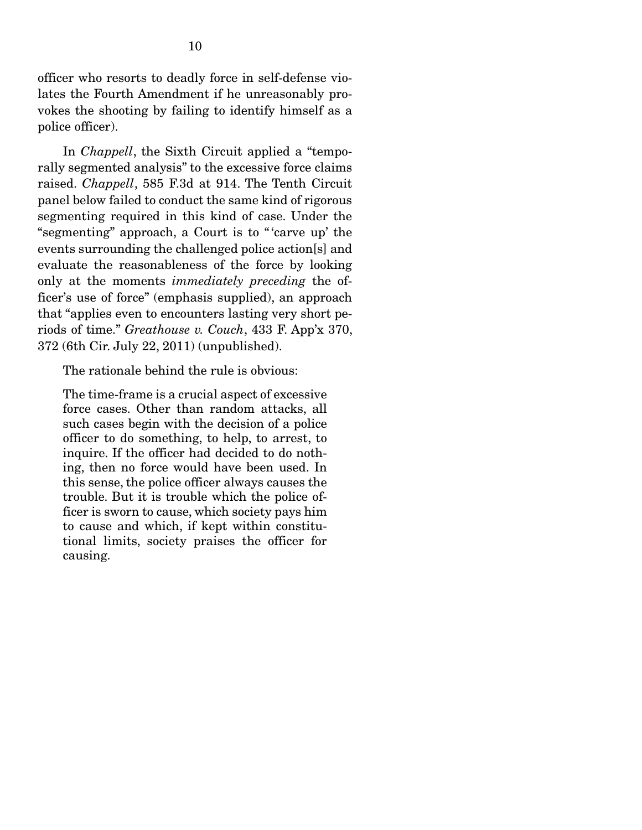officer who resorts to deadly force in self-defense violates the Fourth Amendment if he unreasonably provokes the shooting by failing to identify himself as a police officer).

 In *Chappell*, the Sixth Circuit applied a "temporally segmented analysis" to the excessive force claims raised. *Chappell*, 585 F.3d at 914. The Tenth Circuit panel below failed to conduct the same kind of rigorous segmenting required in this kind of case. Under the "segmenting" approach, a Court is to " 'carve up' the events surrounding the challenged police action[s] and evaluate the reasonableness of the force by looking only at the moments *immediately preceding* the officer's use of force" (emphasis supplied), an approach that "applies even to encounters lasting very short periods of time." *Greathouse v. Couch*, 433 F. App'x 370, 372 (6th Cir. July 22, 2011) (unpublished).

The rationale behind the rule is obvious:

The time-frame is a crucial aspect of excessive force cases. Other than random attacks, all such cases begin with the decision of a police officer to do something, to help, to arrest, to inquire. If the officer had decided to do nothing, then no force would have been used. In this sense, the police officer always causes the trouble. But it is trouble which the police officer is sworn to cause, which society pays him to cause and which, if kept within constitutional limits, society praises the officer for causing.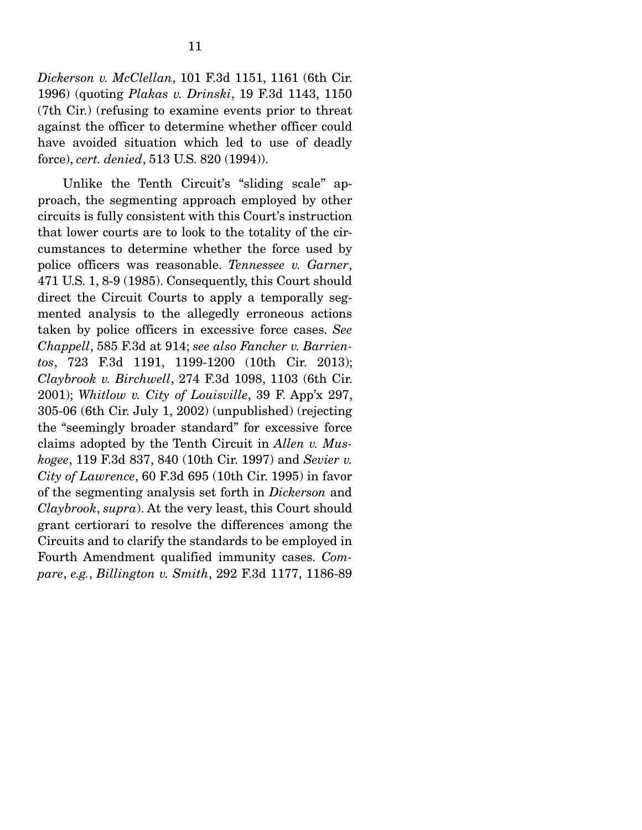*Dickerson v. McClellan*, 101 F.3d 1151, 1161 (6th Cir. 1996) (quoting *Plakas v. Drinski*, 19 F.3d 1143, 1150 (7th Cir.) (refusing to examine events prior to threat against the officer to determine whether officer could have avoided situation which led to use of deadly force), *cert. denied*, 513 U.S. 820 (1994)).

 Unlike the Tenth Circuit's "sliding scale" approach, the segmenting approach employed by other circuits is fully consistent with this Court's instruction that lower courts are to look to the totality of the circumstances to determine whether the force used by police officers was reasonable. *Tennessee v. Garner*, 471 U.S. 1, 8-9 (1985). Consequently, this Court should direct the Circuit Courts to apply a temporally segmented analysis to the allegedly erroneous actions taken by police officers in excessive force cases. *See Chappell*, 585 F.3d at 914; *see also Fancher v. Barrientos*, 723 F.3d 1191, 1199-1200 (10th Cir. 2013); *Claybrook v. Birchwell*, 274 F.3d 1098, 1103 (6th Cir. 2001); *Whitlow v. City of Louisville*, 39 F. App'x 297, 305-06 (6th Cir. July 1, 2002) (unpublished) (rejecting the "seemingly broader standard" for excessive force claims adopted by the Tenth Circuit in *Allen v. Muskogee*, 119 F.3d 837, 840 (10th Cir. 1997) and *Sevier v. City of Lawrence*, 60 F.3d 695 (10th Cir. 1995) in favor of the segmenting analysis set forth in *Dickerson* and *Claybrook*, *supra*). At the very least, this Court should grant certiorari to resolve the differences among the Circuits and to clarify the standards to be employed in Fourth Amendment qualified immunity cases. *Compare*, *e.g.*, *Billington v. Smith*, 292 F.3d 1177, 1186-89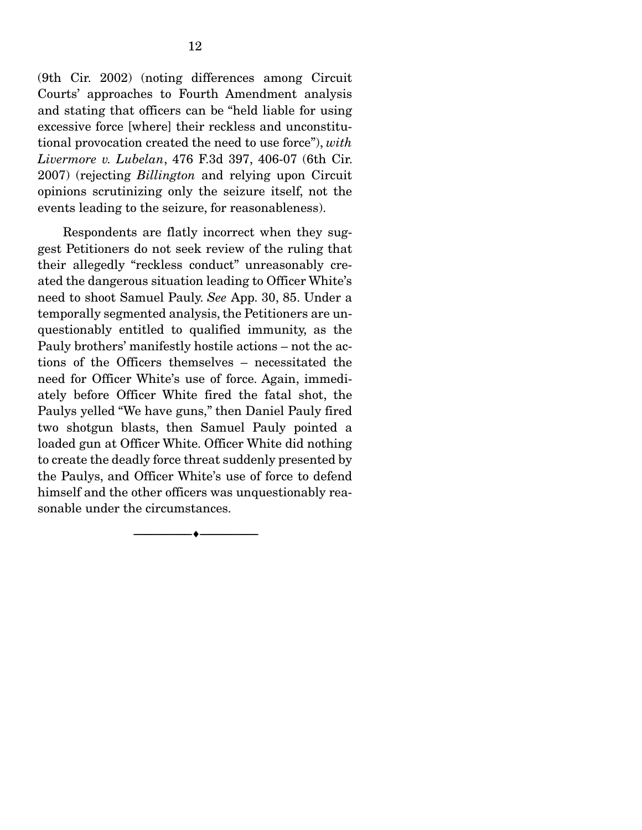(9th Cir. 2002) (noting differences among Circuit Courts' approaches to Fourth Amendment analysis and stating that officers can be "held liable for using excessive force [where] their reckless and unconstitutional provocation created the need to use force"), *with Livermore v. Lubelan*, 476 F.3d 397, 406-07 (6th Cir. 2007) (rejecting *Billington* and relying upon Circuit opinions scrutinizing only the seizure itself, not the events leading to the seizure, for reasonableness).

 Respondents are flatly incorrect when they suggest Petitioners do not seek review of the ruling that their allegedly "reckless conduct" unreasonably created the dangerous situation leading to Officer White's need to shoot Samuel Pauly. *See* App. 30, 85. Under a temporally segmented analysis, the Petitioners are unquestionably entitled to qualified immunity, as the Pauly brothers' manifestly hostile actions – not the actions of the Officers themselves – necessitated the need for Officer White's use of force. Again, immediately before Officer White fired the fatal shot, the Paulys yelled "We have guns," then Daniel Pauly fired two shotgun blasts, then Samuel Pauly pointed a loaded gun at Officer White. Officer White did nothing to create the deadly force threat suddenly presented by the Paulys, and Officer White's use of force to defend himself and the other officers was unquestionably reasonable under the circumstances.

--------------------------------- ---------------------------------